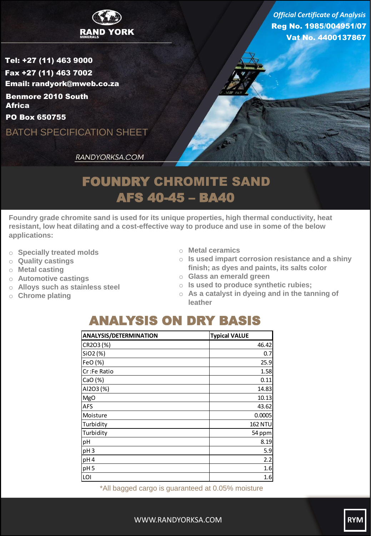

Reg No. 1985/004951/07 Vat No. 4400137867 *Official Certificate of Analysis*

Tel: +27 (11) 463 9000 Fax +27 (11) 463 7002 Email: randyork@mweb.co.za Benmore 2010 South **Africa** 

PO Box 650755

BATCH SPECIFICATION SHEET

RANDYORKSA.COM

## FOUNDRY CHROMITE SAND AFS 40-45 – BA40

**Foundry grade chromite sand is used for its unique properties, high thermal conductivity, heat resistant, low heat dilating and a cost-effective way to produce and use in some of the below applications:**

- o **Specially treated molds**
- o **Quality castings**
- o **Metal casting**
- o **Automotive castings**
- o **Alloys such as stainless steel**
- o **Chrome plating**
- o **Metal ceramics**
- o **Is used impart corrosion resistance and a shiny finish; as dyes and paints, its salts color**
- o **Glass an emerald green**
- o **Is used to produce synthetic rubies;**
- o **As a catalyst in dyeing and in the tanning of leather**

## ANALYSIS ON DRY BASIS

| <b>ANALYSIS/DETERMINATION</b> | <b>Typical VALUE</b> |
|-------------------------------|----------------------|
| CR2O3 (%)                     | 46.42                |
| SiO2 (%)                      | 0.7                  |
| FeO (%)                       | 25.9                 |
| Cr:Fe Ratio                   | 1.58                 |
| CaO(%)                        | 0.11                 |
| AI2O3 (%)                     | 14.83                |
| <b>MgO</b>                    | 10.13                |
| <b>AFS</b>                    | 43.62                |
| Moisture                      | 0.0005               |
| Turbidity                     | <b>162 NTU</b>       |
| Turbidity                     | 54 ppm               |
| pH                            | 8.19                 |
| pH <sub>3</sub>               | 5.9                  |
| pH4                           | 2.2                  |
| pH <sub>5</sub>               | 1.6                  |
| LOI                           | 1.6                  |

\*All bagged cargo is guaranteed at 0.05% moisture